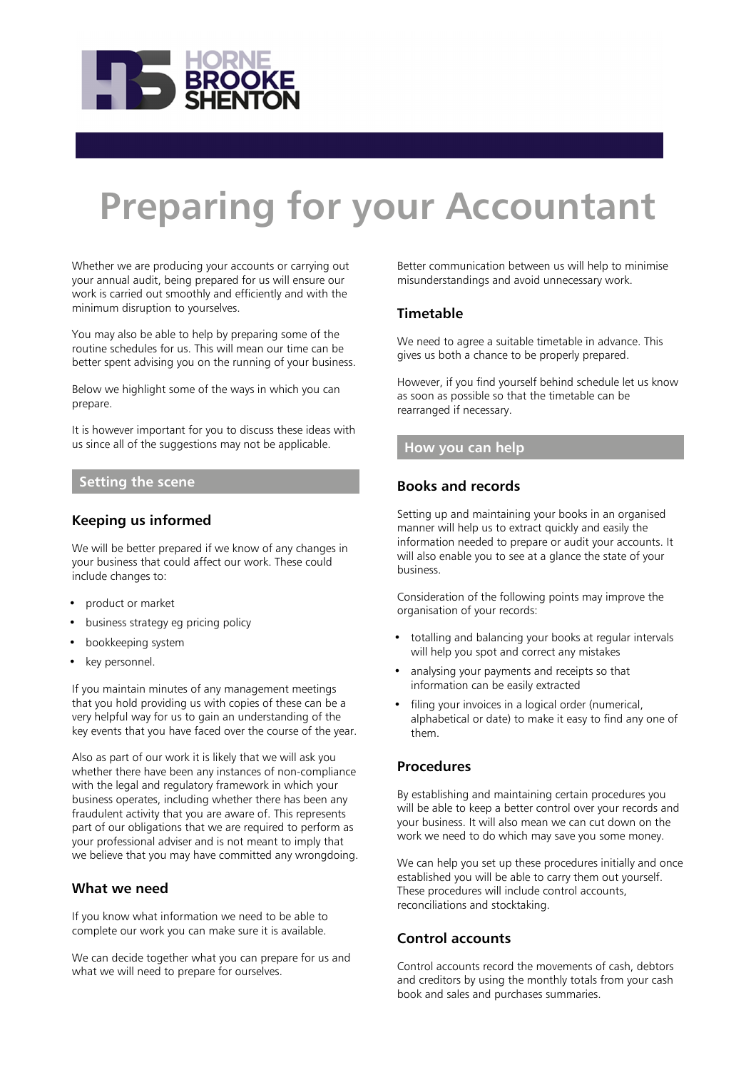

# **Preparing for your Accountant**

Whether we are producing your accounts or carrying out your annual audit, being prepared for us will ensure our work is carried out smoothly and efficiently and with the minimum disruption to yourselves.

You may also be able to help by preparing some of the routine schedules for us. This will mean our time can be better spent advising you on the running of your business.

Below we highlight some of the ways in which you can prepare.

It is however important for you to discuss these ideas with us since all of the suggestions may not be applicable.

#### **Setting the scene**

# **Keeping us informed**

We will be better prepared if we know of any changes in your business that could affect our work. These could include changes to:

- product or market
- business strategy eg pricing policy
- bookkeeping system
- key personnel.

If you maintain minutes of any management meetings that you hold providing us with copies of these can be a very helpful way for us to gain an understanding of the key events that you have faced over the course of the year.

Also as part of our work it is likely that we will ask you whether there have been any instances of non-compliance with the legal and regulatory framework in which your business operates, including whether there has been any fraudulent activity that you are aware of. This represents part of our obligations that we are required to perform as your professional adviser and is not meant to imply that we believe that you may have committed any wrongdoing.

#### **What we need**

If you know what information we need to be able to complete our work you can make sure it is available.

We can decide together what you can prepare for us and what we will need to prepare for ourselves.

Better communication between us will help to minimise misunderstandings and avoid unnecessary work.

#### **Timetable**

We need to agree a suitable timetable in advance. This gives us both a chance to be properly prepared.

However, if you find yourself behind schedule let us know as soon as possible so that the timetable can be rearranged if necessary.

#### **How you can help**

#### **Books and records**

Setting up and maintaining your books in an organised manner will help us to extract quickly and easily the information needed to prepare or audit your accounts. It will also enable you to see at a glance the state of your business.

Consideration of the following points may improve the organisation of your records:

- totalling and balancing your books at regular intervals will help you spot and correct any mistakes
- analysing your payments and receipts so that information can be easily extracted
- filing your invoices in a logical order (numerical, alphabetical or date) to make it easy to find any one of them.

#### **Procedures**

By establishing and maintaining certain procedures you will be able to keep a better control over your records and your business. It will also mean we can cut down on the work we need to do which may save you some money.

We can help you set up these procedures initially and once established you will be able to carry them out yourself. These procedures will include control accounts, reconciliations and stocktaking.

# **Control accounts**

Control accounts record the movements of cash, debtors and creditors by using the monthly totals from your cash book and sales and purchases summaries.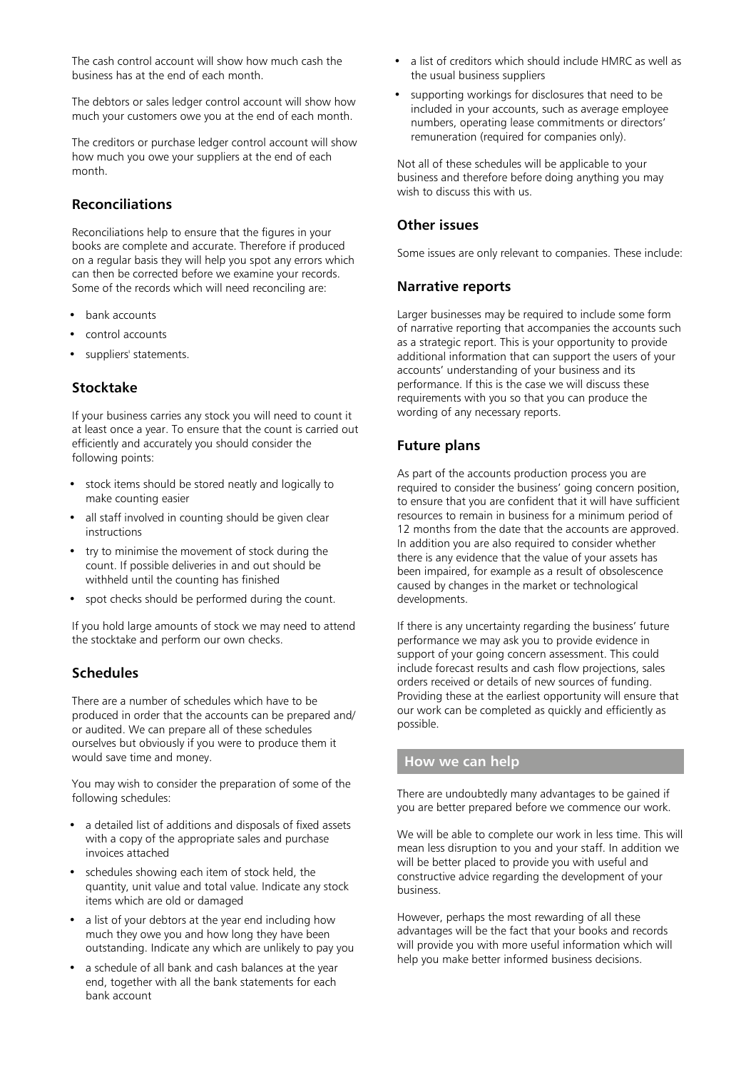The cash control account will show how much cash the business has at the end of each month.

The debtors or sales ledger control account will show how much your customers owe you at the end of each month.

The creditors or purchase ledger control account will show how much you owe your suppliers at the end of each month.

# **Reconciliations**

Reconciliations help to ensure that the figures in your books are complete and accurate. Therefore if produced on a regular basis they will help you spot any errors which can then be corrected before we examine your records. Some of the records which will need reconciling are:

- bank accounts
- control accounts
- suppliers' statements.

# **Stocktake**

If your business carries any stock you will need to count it at least once a year. To ensure that the count is carried out efficiently and accurately you should consider the following points:

- stock items should be stored neatly and logically to make counting easier
- all staff involved in counting should be given clear instructions
- try to minimise the movement of stock during the count. If possible deliveries in and out should be withheld until the counting has finished
- spot checks should be performed during the count.

If you hold large amounts of stock we may need to attend the stocktake and perform our own checks.

# **Schedules**

There are a number of schedules which have to be produced in order that the accounts can be prepared and/ or audited. We can prepare all of these schedules ourselves but obviously if you were to produce them it would save time and money.

You may wish to consider the preparation of some of the following schedules:

- a detailed list of additions and disposals of fixed assets with a copy of the appropriate sales and purchase invoices attached
- schedules showing each item of stock held, the quantity, unit value and total value. Indicate any stock items which are old or damaged
- a list of your debtors at the year end including how much they owe you and how long they have been outstanding. Indicate any which are unlikely to pay you
- a schedule of all bank and cash balances at the year end, together with all the bank statements for each bank account
- a list of creditors which should include HMRC as well as the usual business suppliers
- supporting workings for disclosures that need to be included in your accounts, such as average employee numbers, operating lease commitments or directors' remuneration (required for companies only).

Not all of these schedules will be applicable to your business and therefore before doing anything you may wish to discuss this with us.

# **Other issues**

Some issues are only relevant to companies. These include:

#### **Narrative reports**

Larger businesses may be required to include some form of narrative reporting that accompanies the accounts such as a strategic report. This is your opportunity to provide additional information that can support the users of your accounts' understanding of your business and its performance. If this is the case we will discuss these requirements with you so that you can produce the wording of any necessary reports.

# **Future plans**

As part of the accounts production process you are required to consider the business' going concern position, to ensure that you are confident that it will have sufficient resources to remain in business for a minimum period of 12 months from the date that the accounts are approved. In addition you are also required to consider whether there is any evidence that the value of your assets has been impaired, for example as a result of obsolescence caused by changes in the market or technological developments.

If there is any uncertainty regarding the business' future performance we may ask you to provide evidence in support of your going concern assessment. This could include forecast results and cash flow projections, sales orders received or details of new sources of funding. Providing these at the earliest opportunity will ensure that our work can be completed as quickly and efficiently as possible.

# **How we can help**

There are undoubtedly many advantages to be gained if you are better prepared before we commence our work.

We will be able to complete our work in less time. This will mean less disruption to you and your staff. In addition we will be better placed to provide you with useful and constructive advice regarding the development of your business.

However, perhaps the most rewarding of all these advantages will be the fact that your books and records will provide you with more useful information which will help you make better informed business decisions.